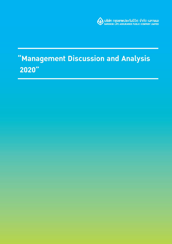

# "Management Discussion and Analysis 2020"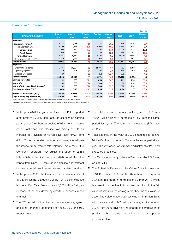## **Executive Summary**

|                                        |                |                |               |                |               |        |                          | Baht, million |
|----------------------------------------|----------------|----------------|---------------|----------------|---------------|--------|--------------------------|---------------|
| <b>OPERATING RESULTS</b>               | <b>Quarter</b> | <b>Quarter</b> | <b>Change</b> | <b>Quarter</b> | <b>Change</b> | 2020   | 2019                     | <b>Change</b> |
|                                        | 4/20           | 4/19           | YoY%          | 3/20           | QoQ%          |        |                          | YoY%          |
| <b>Revenues</b>                        |                |                |               |                |               |        |                          |               |
| Net premiums written <sup>(1)</sup>    | 7,765          | 7,968          | $-2.5$        | 9,743          | $-20.3$       | 33,396 | 34,308                   | $-2.7$        |
| First Year Premium                     | 1,194          | 1,528          | $-21.9$       | 3,005          | $-60.3$       | 6,550  | 6,198                    | 5.7           |
| Bancassurance                          | 482            | 879            | $-45.2$       | 2,597          | $-81.4$       | 4,228  | 3,735                    | 13.2          |
| Agent Channel                          | 498            | 467            | 6.6           | 360            | 38.3          | 1,699  | 1,923                    | $-11.6$       |
| Renewal Premium                        | 6,851          | 6,682          | 2.5           | 6,798          | 0.8           | 28,195 | 29,495                   | $-4.4$        |
| Total Investment Income <sup>(2)</sup> | 2,839          | 3,263          | $-13.0$       | 2,942          | $-3.5$        | 13,622 | 14,053                   | $-3.1$        |
| <b>Total Revenues</b>                  | 10,407         | 11,284         | $-7.8$        | 12,824         | $-18.9$       | 47,337 | 48,902                   | $-3.2$        |
| <b>Expenses</b>                        |                |                |               |                |               |        |                          |               |
| Underwriting expenses                  | 9,706          | 10,087         | $-3.8$        | 11,775         | $-17.6$       | 43,703 | 41,960                   | 4.2           |
| Operating expenses                     | 379            | 408            | $-6.9$        | 405            | $-6.3$        | 1,534  | 1,636                    | $-6.3$        |
| <b>Expected Credit Loss</b>            | 128            | ٠              | 0.0           | (9)            | $-1,568.6$    | 339    | $\overline{\phantom{a}}$ | 0.0           |
| <b>Total Expenses</b>                  | 10,213         | 10,494         | $-2.7$        | 12,171         | $-16.1$       | 45,576 | 43,596                   | 4.5           |
| <b>Earning before tax</b>              | 194            | 789            | $-75.4$       | 653            | $-70.3$       | 1,761  | 5,306                    | $-66.8$       |
| <b>Net profit</b>                      | 164            | 653            | $-75.0$       | 583            | $-72.0$       | 1,608  | 4,384                    | $-63.3$       |
| Net profit (Excluded LAT Reserve)      | 164            | 653            | $-75.0$       | 583            | $-72.0$       | 1,608  | 4,384                    | $-63.3$       |
| Earnings per share (EPS)               | 0.09           | 0.38           | $-75.2$       | 0.34           | $-72.2$       | 0.94   | 2.57                     | $-63.3$       |
| <b>Return on investment (ROI)</b>      | 3.45%          | 4.05%          | $-0.6%$       | 3.54%          | $-0.1%$       | 4.14%  | 4.43%                    | $-0.3%$       |
| Capital Adequacy Ratio (CAR)           | 274%           | 314%           | $-40%$        | 263%           | 11%           | 274%   | 314%                     | $-40%$        |

 $<sup>(1)</sup>$  Net premiums written = first year premiums + renewal year premiums - premiums ceded + unearned premium reserves</sup>

 $^{\rm 3}$  Total investment income = Net investment income +Gains on investments + Gains on revaluation (Trading securities and Exchange rate)

- In the year 2020, Bangkok Life Assurance PCL. reported a net profit of 1,608 Million Baht, representing an earning per share of 0.94 Baht, a decline of 63% from the same period last year. The decline was mainly due to an increase in Provision for Adverse Deviation (PAD) from 4% to 5% as part of risk management strategy to mitigate the impact from interest rate volatility. As a result, the Company recorded PAD adjustment effect of 2,668 Million Baht in the first quarter of 2020. In addition, the impact from COVID-19 resulted in a decline in investment income through lower interest rate and dividend received.
- In the year of 2020, the Company had a total revenue of 47,337 Million Baht, a decline of 3% from the same period last year. First Year Premium was 6,550 Million Baht, an increase of 6% YoY driven by growth in bancassurance channel.
- The FYP by distribution channel: bancassurance, agent and other channels accounted for 65%, 26% and 9%, respectively.
- The total investment income in the year of 2020 was 13,622 Million Baht, a decrease of 3% from the same period last year. The return on investment (ROI) was 4.14%.
- Total expense in the year of 2020 amounted to 45,576 Million Baht, an increase of 5% from the same period last year. The key reason was from the adjustment of PAD and expected credit loss.
- The Capital Adequacy Ratio (CAR) at the end of 2020 year was at 274%.
- The Embedded Value and the Value of new business as of 31 December 2020 was 67,502 million Baht, equal to 39.5 baht per share, a decrease of 5% from 2019, which is a result of a decline in bond yield resulting in the fair value of liabilities increasing more than the fair value of asset. The Value to new business was 1,151 million Baht, which was equal to 0.7 baht per share, an increase of 227% from 2019 driven by the change in composition of product mix towards protection and participatory insurance plan.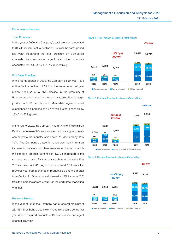#### **Performance Overview**

## **Total Premium**

In the year of 2020, the Company's total premium amounted to 34,745 million Baht, a decline of 3% from the same period last year. Regarding the total premium by distribution channels: bancassurance, agent and other channels accounted for 55%, 39% and 6%, respectively.

## **First Year Premium**

In the fourth quarter of 2020, the Company's FYP was 1,194 million Baht, a decline of 22% from the same period last year mainly because of a 45% decline in the premium of Bancassurance channel as the focus was on selling strategic product in 3Q20 per planned. Meanwhile, Agent channel experienced an increase of 7% YoY while other channel saw 18% YoY FYP growth.

In the year of 2020, the Company had an FYP of 6,550 million Baht, an increase of 6% from last year which is a good growth compared to the Industry which saw FYP declined by 11% YoY. The Company's outperformance was mainly from an increase in premium from bancassurance channel in which the strategic product launched in 3Q20 contributed to the success. As a result, Bancassurance channel showed a 13% YoY increase in FYP. Agent FYP declined 12% from the previous year from a change of product sold and the impact from Covid-19. Other channel showed a 15% increase YoY from the increase across Group, Online and Direct marketing channel.

### **Renewal Premium**

In the year of 2020, the Company had a renewal premium of 28,195 million Baht, a decline of 4% from the same period last year due to matured products of Bancassurance and agent channel this year.









#### **Figure 3: Renewal Premium by channels (Baht: million)**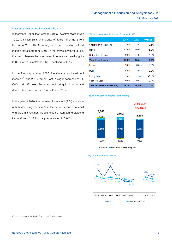#### **Investment Asset and Investment Return**

In the year of 2020, the Company's total investment asset was 329,279 million Baht, an increase of 5,492 million Baht from the end of 2019. The Company's investment portion of fixed income increased from 80.9% in the previous year to 83.5% this year. Meanwhile, investment in equity declined slightly to 8.5% while investment in REIT declined to 4.9%.

In the fourth quarter of 2020, the Company's investment income  $^{(3)}$  was 2,839 million Baht, a slight decrease of 4% QoQ and 13% YoY. Excluding realized gain, interest and dividend income dropped 8% QoQ and 7% YoY.

In the year of 2020, the return on investment (ROI) equals to 4.14%, declining from 4.43% in the previous year as a result of a drop in investment yield (including interest and dividend income) from 4.10% in the previous year to 3.83%.

| Table 1: Investment Assets as of year-end 2020 |         |         |         |  |  |  |
|------------------------------------------------|---------|---------|---------|--|--|--|
|                                                | 2019    | 2020    | Change  |  |  |  |
| Short-term investment                          | $4.0\%$ | 3.5%    | $-0.5%$ |  |  |  |
| Bond                                           | 44.0%   | 49.0%   | 5.0%    |  |  |  |
| Debenture & Note                               | 32.9%   | 31.0%   | $-1.9%$ |  |  |  |
| <b>Total fixed income</b>                      | 80.9%   | 83.5%   | 2.6%    |  |  |  |
| Equity                                         | $9.0\%$ | 8.5%    | $-0.6%$ |  |  |  |
| REIT                                           | 6.9%    | 4.9%    | $-2.0%$ |  |  |  |
| Policy Loan                                    | 2.6%    | 2.5%    | $-0.1%$ |  |  |  |
| Secured Loan                                   | 0.5%    | 0.6%    | 0.1%    |  |  |  |
| Total investment asset (Mb)                    | 323,787 | 329,279 | 1.7%    |  |  |  |





Interest Dividend Realized gain





(3) Interest income + Dividend + Profit (Loss) from Investment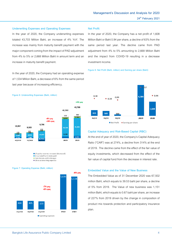#### **Underwriting Expenses and Operating Expenses**

In the year of 2020, the Company underwriting expenses totaled 43,703 Million Baht, an increase of 4% YoY. The increase was mainly from maturity benefit payment with the major component coming from the impact of PAD adjustment from 4% to 5% or 2,668 Million Baht in amount term and an increase in maturity benefit payment.

In the year of 2020, the Company had an operating expense of 1,534 Million Baht, a decrease of 6% from the same period last year because of increasing efficiency.



 $\blacksquare$  Life policy reserves increased (decreased) Gross benefit and claims paid Commissions and brokerages

Other underwriting expenses



#### **Net Profit:**

In the year of 2020, the Company has a net profit of 1,608 Million Baht or Baht 0.94 per share, a decline of 63% from the same period last year. The decline came from PAD adjustment from 4% to 5% amounting to 2,668 Million Baht and the impact from COVID-19 resulting in a decrease investment income.





#### **Capital Adequacy and Risk-Based Capital (RBC)**

At the end of year of 2020, the Company's Capital Adequacy Ratio ("CAR") was at 274%, a decline from 314% at the end of 2019. The decline came from the effect of the fair value of equity investments, which decreased from the effect of the fair value of capital fund from the decrease in interest rate.

## **Embedded Value and the Value of New Business**

The Embedded Value as of 31 December 2020 was 67,502 million Baht, which equals to 39.53 baht per share, a decline of 5% from 2019. The Value of new business was 1,151 million Baht, which equals to 0.67 baht per share, an increase of 227% from 2019 driven by the change in composition of product mix towards protection and participatory insurance plan.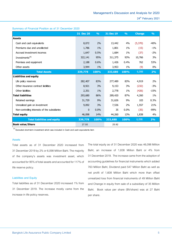#### **Summary of Financial Position as of 31 December 2020**

|                                               | 31 Dec 20    | $\frac{9}{6}$ | 31 Dec 19 | $\frac{9}{0}$ | <b>Change</b> | $\frac{9}{6}$ |
|-----------------------------------------------|--------------|---------------|-----------|---------------|---------------|---------------|
| <b>Assets</b>                                 |              |               |           |               |               |               |
| Cash and cash equivalents                     | 8,072        | 2%            | 13,442    | 4%            | (5,370)       | -40%          |
| Premiums due and uncollected                  | 1,786        | $1\%$         | 1,801     | $1\%$         | (15)          | $-1%$         |
| Accrued investment incomes                    | 1,647        | 0.5%          | 1,684     | $1\%$         | (37)          | $-2%$         |
| Investments <sup><math>(4)</math></sup>       | 322,141      | 95%           | 311,375   | 93%           | 10,766        | 3%            |
| Premises and equipment                        | 2,188        | 0.6%          | 1,426     | 0.4%          | 762           | 53%           |
| Other assets                                  | 3,944        | $1\%$         | 3,953     | $1\%$         | (9)           | 0%            |
| <b>Total Assets</b>                           | 339,778      | 100%          | 333,680   | 100%          | 6,098         | 2%            |
| Liabilities and equity                        |              |               |           |               |               |               |
| Life policy reserves                          | 282,407      | 83%           | 277,489   | 83%           | 4,919         | 2%            |
| Other insurance contract liabilities          | 8,921        | 3%            | 9,153     | 3%            | (232)         | $-3%$         |
| Other liabilities                             | 2,351        | $1\%$         | 2,778     | $1\%$         | (426)         | $-15%$        |
| <b>Total liabilities</b>                      | 293,680      | 86%           | 289,420   | 87%           | 4,260         | 1%            |
| Retained earnings                             | 31,729       | 9%            | 31,626    | 9%            | 103           | 0.3%          |
| Unrealized gain on investment                 | 9,092        | 3%            | 7,536     | 2%            | 1,557         | 21%           |
| Non-controlling interests of the subsidiaries | $\mathbf{0}$ | 0.0%          | 35        | 0.0%          | (35)          | $-99%$        |
| <b>Total equity</b>                           | 46,098       | 14%           | 44,260    | 13%           | 1,838         | 4%            |
| <b>Total liabilities and equity</b>           | 339,778      | 100%          | 333,680   | 100%          | 6,098         | 2%            |
| <b>Book value/Share</b>                       | 27.00        |               | 25.92     |               |               |               |

**(4) Excluded short-term investment which was included in Cash and cash equivalents item**

#### **Assets**

Total assets as of 31 December 2020 increased from 31 December 2019 by 2% or 6,098 Million Baht. The majority of the company's assets was investment asset, which accounted for 95% of total assets and accounted for 117% of life reserve policy.

#### **Liabilities and Equity**

Total liabilities as of 31 December 2020 increased 1% from 31 December 2019. The increase mostly came from the increase in life policy reserves.

The total equity as of 31 December 2020 was 46,098 Million Baht, an increase of 1,838 Million Baht or 4% from 31 December 2019. The increase came from the adoption of accounting guidelines for financial instruments which added 763 Million Baht, Dividend paid 547 Million Baht as well as net profit of 1,608 Million Baht which more than offset unrealized loss from financial instruments of 49 Million Baht and Change in equity from sale of a subsidiary of 35 Million Baht. Book value per share (BV/share) was at 27 Baht per share.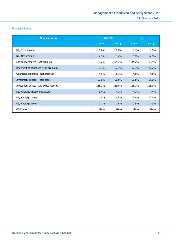## **Financial Ratios**

| <b>Financial ratio</b>                  | Quarter  |        | Year    |         |
|-----------------------------------------|----------|--------|---------|---------|
|                                         | 4/2020   | 4/2019 | 2020    | 2019    |
| NI / Total income                       | 1.6%     | 5.8%   | 3.4%    | $9.0\%$ |
| NI / Net premium                        | 2.1%     | 8.2%   | 4.8%    | 12.8%   |
| Life policy reserve / Net premium       | $-73.2%$ | 34.7%  | 14.7%   | 10.4%   |
| Underwriting expenses / Net premium     | 93.3%    | 127.1% | 92.3%   | 122.2%  |
| Operating expenses / Net premium        | 4.9%     | 5.1%   | 4.6%    | 4.8%    |
| Investment assets / Total asset         | 97.0%    | 96.5%  | 96.8%   | 95.0%   |
| Investment assets / Life policy reserve | 116.7%   | 116.0% | 116.7%  | 116.0%  |
| NI / Average investment assets          | 3.4%     | 4.1%   | 4.1%    | 4.4%    |
| NI / Average equity                     | 1.5%     | 5.8%   | $3.6\%$ | 10.6%   |
| NI / Average assets                     | 0.2%     | 0.8%   | 0.5%    | 1.3%    |
| CAR ratio                               | 274%     | 314%   | 274%    | 314%    |